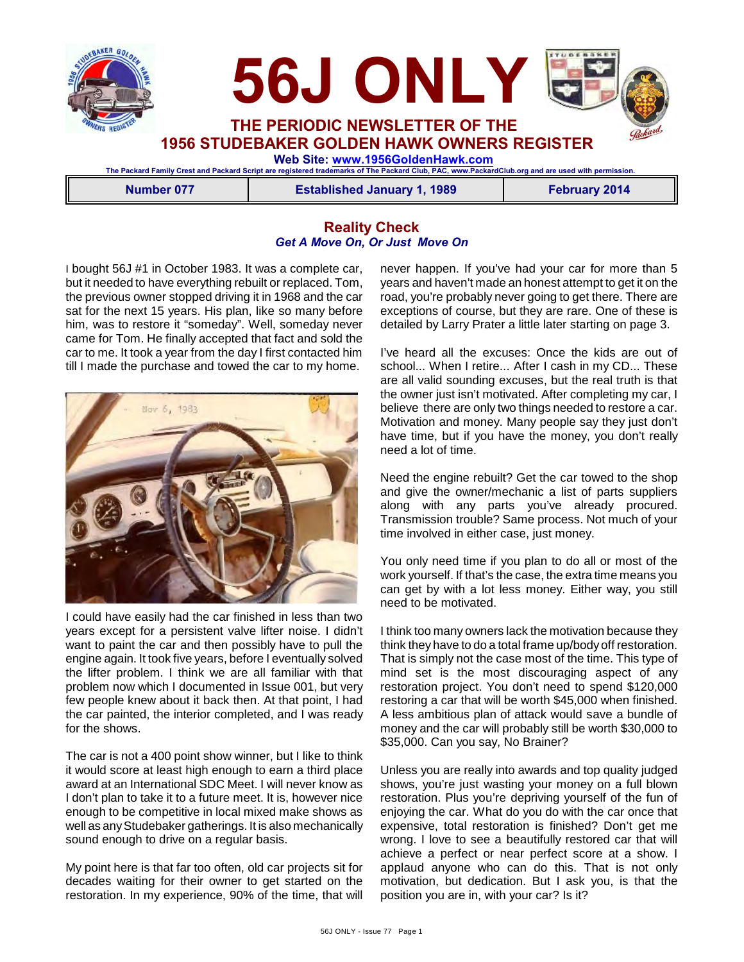



**1956 STUDEBAKER GOLDEN HAWK OWNERS REGISTER**

 **Web Site: [www.1956GoldenHawk.com](http://www.1956GoldenHawk.com) The Packard Family Crest and Packard Script are registered trademarks of The Packard Club, PAC, www.PackardClub.org and are used with permission.** 

**Number 077 Established January 1, 1989 February 2014**

#### **Reality Check** *Get A Move On, Or Just Move On*

I bought 56J #1 in October 1983. It was a complete car, but it needed to have everything rebuilt or replaced. Tom, the previous owner stopped driving it in 1968 and the car sat for the next 15 years. His plan, like so many before him, was to restore it "someday". Well, someday never came for Tom. He finally accepted that fact and sold the car to me. It took a year from the day I first contacted him till I made the purchase and towed the car to my home.



I could have easily had the car finished in less than two years except for a persistent valve lifter noise. I didn't want to paint the car and then possibly have to pull the engine again. It took five years, before I eventually solved the lifter problem. I think we are all familiar with that problem now which I documented in Issue 001, but very few people knew about it back then. At that point, I had the car painted, the interior completed, and I was ready for the shows.

The car is not a 400 point show winner, but I like to think it would score at least high enough to earn a third place award at an International SDC Meet. I will never know as I don't plan to take it to a future meet. It is, however nice enough to be competitive in local mixed make shows as well as any Studebaker gatherings. It is also mechanically sound enough to drive on a regular basis.

My point here is that far too often, old car projects sit for decades waiting for their owner to get started on the restoration. In my experience, 90% of the time, that will

never happen. If you've had your car for more than 5 years and haven't made an honest attempt to get it on the road, you're probably never going to get there. There are exceptions of course, but they are rare. One of these is detailed by Larry Prater a little later starting on page 3.

I've heard all the excuses: Once the kids are out of school... When I retire... After I cash in my CD... These are all valid sounding excuses, but the real truth is that the owner just isn't motivated. After completing my car, I believe there are only two things needed to restore a car. Motivation and money. Many people say they just don't have time, but if you have the money, you don't really need a lot of time.

Need the engine rebuilt? Get the car towed to the shop and give the owner/mechanic a list of parts suppliers along with any parts you've already procured. Transmission trouble? Same process. Not much of your time involved in either case, just money.

You only need time if you plan to do all or most of the work yourself. If that's the case, the extra time means you can get by with a lot less money. Either way, you still need to be motivated.

I think too many owners lack the motivation because they think they have to do a total frame up/body off restoration. That is simply not the case most of the time. This type of mind set is the most discouraging aspect of any restoration project. You don't need to spend \$120,000 restoring a car that will be worth \$45,000 when finished. A less ambitious plan of attack would save a bundle of money and the car will probably still be worth \$30,000 to \$35,000. Can you say, No Brainer?

Unless you are really into awards and top quality judged shows, you're just wasting your money on a full blown restoration. Plus you're depriving yourself of the fun of enjoying the car. What do you do with the car once that expensive, total restoration is finished? Don't get me wrong. I love to see a beautifully restored car that will achieve a perfect or near perfect score at a show. I applaud anyone who can do this. That is not only motivation, but dedication. But I ask you, is that the position you are in, with your car? Is it?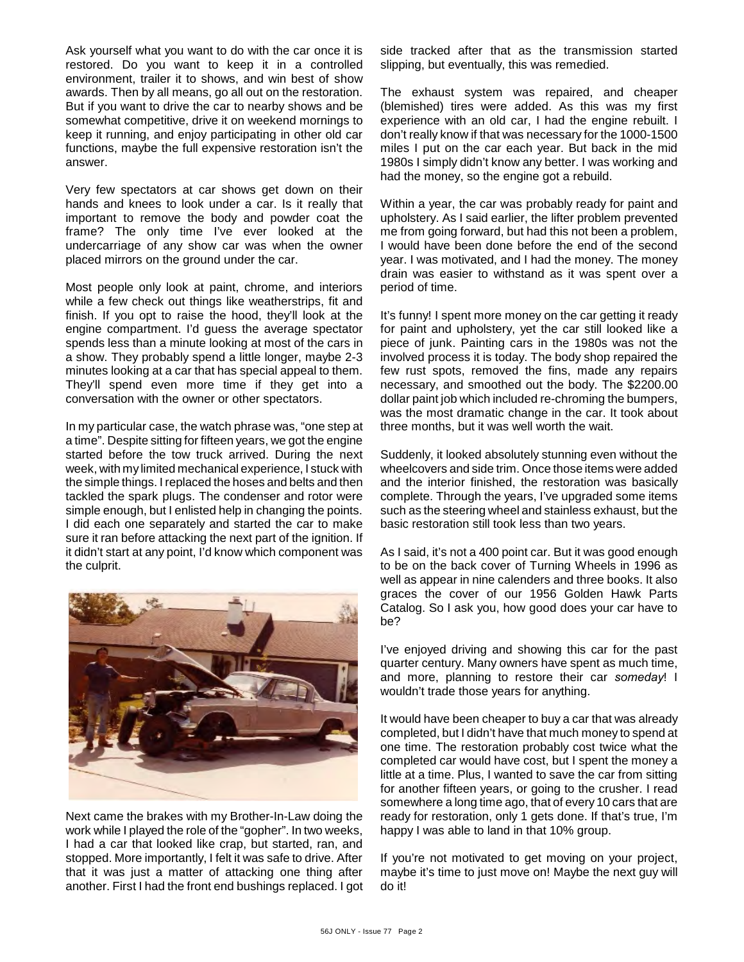Ask yourself what you want to do with the car once it is restored. Do you want to keep it in a controlled environment, trailer it to shows, and win best of show awards. Then by all means, go all out on the restoration. But if you want to drive the car to nearby shows and be somewhat competitive, drive it on weekend mornings to keep it running, and enjoy participating in other old car functions, maybe the full expensive restoration isn't the answer.

Very few spectators at car shows get down on their hands and knees to look under a car. Is it really that important to remove the body and powder coat the frame? The only time I've ever looked at the undercarriage of any show car was when the owner placed mirrors on the ground under the car.

Most people only look at paint, chrome, and interiors while a few check out things like weatherstrips, fit and finish. If you opt to raise the hood, they'll look at the engine compartment. I'd guess the average spectator spends less than a minute looking at most of the cars in a show. They probably spend a little longer, maybe 2-3 minutes looking at a car that has special appeal to them. They'll spend even more time if they get into a conversation with the owner or other spectators.

In my particular case, the watch phrase was, "one step at a time". Despite sitting for fifteen years, we got the engine started before the tow truck arrived. During the next week, with my limited mechanical experience, I stuck with the simple things. I replaced the hoses and belts and then tackled the spark plugs. The condenser and rotor were simple enough, but I enlisted help in changing the points. I did each one separately and started the car to make sure it ran before attacking the next part of the ignition. If it didn't start at any point, I'd know which component was the culprit.



Next came the brakes with my Brother-In-Law doing the work while I played the role of the "gopher". In two weeks, I had a car that looked like crap, but started, ran, and stopped. More importantly, I felt it was safe to drive. After that it was just a matter of attacking one thing after another. First I had the front end bushings replaced. I got side tracked after that as the transmission started slipping, but eventually, this was remedied.

The exhaust system was repaired, and cheaper (blemished) tires were added. As this was my first experience with an old car, I had the engine rebuilt. I don't really know if that was necessary for the 1000-1500 miles I put on the car each year. But back in the mid 1980s I simply didn't know any better. I was working and had the money, so the engine got a rebuild.

Within a year, the car was probably ready for paint and upholstery. As I said earlier, the lifter problem prevented me from going forward, but had this not been a problem, I would have been done before the end of the second year. I was motivated, and I had the money. The money drain was easier to withstand as it was spent over a period of time.

It's funny! I spent more money on the car getting it ready for paint and upholstery, yet the car still looked like a piece of junk. Painting cars in the 1980s was not the involved process it is today. The body shop repaired the few rust spots, removed the fins, made any repairs necessary, and smoothed out the body. The \$2200.00 dollar paint job which included re-chroming the bumpers, was the most dramatic change in the car. It took about three months, but it was well worth the wait.

Suddenly, it looked absolutely stunning even without the wheelcovers and side trim. Once those items were added and the interior finished, the restoration was basically complete. Through the years, I've upgraded some items such as the steering wheel and stainless exhaust, but the basic restoration still took less than two years.

As I said, it's not a 400 point car. But it was good enough to be on the back cover of Turning Wheels in 1996 as well as appear in nine calenders and three books. It also graces the cover of our 1956 Golden Hawk Parts Catalog. So I ask you, how good does your car have to be?

I've enjoyed driving and showing this car for the past quarter century. Many owners have spent as much time, and more, planning to restore their car *someday*! I wouldn't trade those years for anything.

It would have been cheaper to buy a car that was already completed, but I didn't have that much money to spend at one time. The restoration probably cost twice what the completed car would have cost, but I spent the money a little at a time. Plus, I wanted to save the car from sitting for another fifteen years, or going to the crusher. I read somewhere a long time ago, that of every 10 cars that are ready for restoration, only 1 gets done. If that's true, I'm happy I was able to land in that 10% group.

If you're not motivated to get moving on your project, maybe it's time to just move on! Maybe the next guy will do it!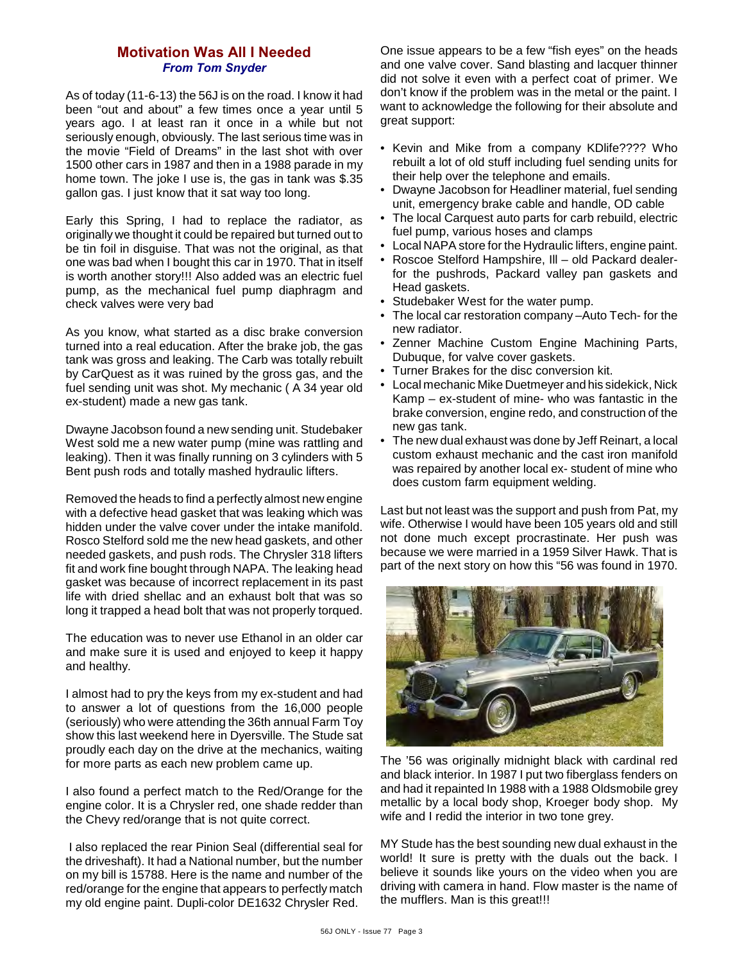#### **Motivation Was All I Needed** *From Tom Snyder*

As of today (11-6-13) the 56J is on the road. I know it had been "out and about" a few times once a year until 5 years ago. I at least ran it once in a while but not seriously enough, obviously. The last serious time was in the movie "Field of Dreams" in the last shot with over 1500 other cars in 1987 and then in a 1988 parade in my home town. The joke I use is, the gas in tank was \$.35 gallon gas. I just know that it sat way too long.

Early this Spring, I had to replace the radiator, as originally we thought it could be repaired but turned out to be tin foil in disguise. That was not the original, as that one was bad when I bought this car in 1970. That in itself is worth another story!!! Also added was an electric fuel pump, as the mechanical fuel pump diaphragm and check valves were very bad

As you know, what started as a disc brake conversion turned into a real education. After the brake job, the gas tank was gross and leaking. The Carb was totally rebuilt by CarQuest as it was ruined by the gross gas, and the fuel sending unit was shot. My mechanic ( A 34 year old ex-student) made a new gas tank.

Dwayne Jacobson found a new sending unit. Studebaker West sold me a new water pump (mine was rattling and leaking). Then it was finally running on 3 cylinders with 5 Bent push rods and totally mashed hydraulic lifters.

Removed the heads to find a perfectly almost new engine with a defective head gasket that was leaking which was hidden under the valve cover under the intake manifold. Rosco Stelford sold me the new head gaskets, and other needed gaskets, and push rods. The Chrysler 318 lifters fit and work fine bought through NAPA. The leaking head gasket was because of incorrect replacement in its past life with dried shellac and an exhaust bolt that was so long it trapped a head bolt that was not properly torqued.

The education was to never use Ethanol in an older car and make sure it is used and enjoyed to keep it happy and healthy.

I almost had to pry the keys from my ex-student and had to answer a lot of questions from the 16,000 people (seriously) who were attending the 36th annual Farm Toy show this last weekend here in Dyersville. The Stude sat proudly each day on the drive at the mechanics, waiting for more parts as each new problem came up.

I also found a perfect match to the Red/Orange for the engine color. It is a Chrysler red, one shade redder than the Chevy red/orange that is not quite correct.

 I also replaced the rear Pinion Seal (differential seal for the driveshaft). It had a National number, but the number on my bill is 15788. Here is the name and number of the red/orange for the engine that appears to perfectly match my old engine paint. Dupli-color DE1632 Chrysler Red.

One issue appears to be a few "fish eyes" on the heads and one valve cover. Sand blasting and lacquer thinner did not solve it even with a perfect coat of primer. We don't know if the problem was in the metal or the paint. I want to acknowledge the following for their absolute and great support:

- Kevin and Mike from a company KDlife???? Who rebuilt a lot of old stuff including fuel sending units for their help over the telephone and emails.
- Dwayne Jacobson for Headliner material, fuel sending unit, emergency brake cable and handle, OD cable
- The local Carquest auto parts for carb rebuild, electric fuel pump, various hoses and clamps
- Local NAPA store for the Hydraulic lifters, engine paint.
- Roscoe Stelford Hampshire, Ill old Packard dealerfor the pushrods, Packard valley pan gaskets and Head gaskets.
- Studebaker West for the water pump.
- The local car restoration company –Auto Tech- for the new radiator.
- Zenner Machine Custom Engine Machining Parts, Dubuque, for valve cover gaskets.
- Turner Brakes for the disc conversion kit.
- Local mechanic Mike Duetmeyer and his sidekick, Nick Kamp – ex-student of mine- who was fantastic in the brake conversion, engine redo, and construction of the new gas tank.
- The new dual exhaust was done by Jeff Reinart, a local custom exhaust mechanic and the cast iron manifold was repaired by another local ex- student of mine who does custom farm equipment welding.

Last but not least was the support and push from Pat, my wife. Otherwise I would have been 105 years old and still not done much except procrastinate. Her push was because we were married in a 1959 Silver Hawk. That is part of the next story on how this "56 was found in 1970.



The '56 was originally midnight black with cardinal red and black interior. In 1987 I put two fiberglass fenders on and had it repainted In 1988 with a 1988 Oldsmobile grey metallic by a local body shop, Kroeger body shop. My wife and I redid the interior in two tone grey.

MY Stude has the best sounding new dual exhaust in the world! It sure is pretty with the duals out the back. I believe it sounds like yours on the video when you are driving with camera in hand. Flow master is the name of the mufflers. Man is this great!!!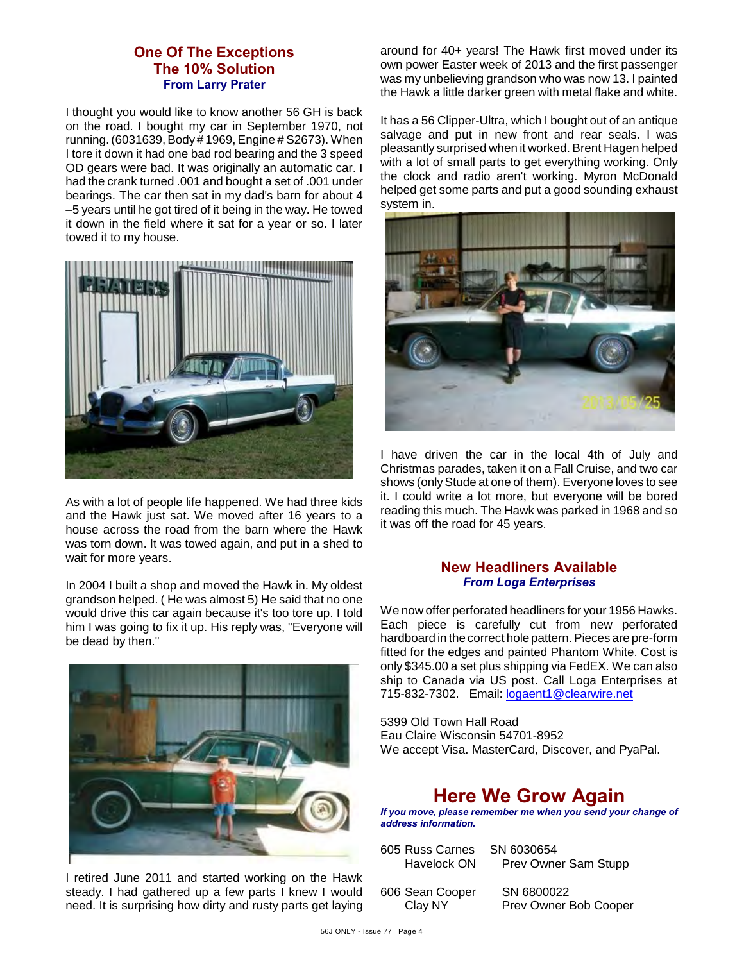#### **One Of The Exceptions The 10% Solution From Larry Prater**

I thought you would like to know another 56 GH is back on the road. I bought my car in September 1970, not running. (6031639, Body # 1969, Engine # S2673). When I tore it down it had one bad rod bearing and the 3 speed OD gears were bad. It was originally an automatic car. I had the crank turned .001 and bought a set of .001 under bearings. The car then sat in my dad's barn for about 4 –5 years until he got tired of it being in the way. He towed it down in the field where it sat for a year or so. I later towed it to my house.



As with a lot of people life happened. We had three kids and the Hawk just sat. We moved after 16 years to a house across the road from the barn where the Hawk was torn down. It was towed again, and put in a shed to wait for more years.

In 2004 I built a shop and moved the Hawk in. My oldest grandson helped. ( He was almost 5) He said that no one would drive this car again because it's too tore up. I told him I was going to fix it up. His reply was, "Everyone will be dead by then."



I retired June 2011 and started working on the Hawk steady. I had gathered up a few parts I knew I would need. It is surprising how dirty and rusty parts get laying around for 40+ years! The Hawk first moved under its own power Easter week of 2013 and the first passenger was my unbelieving grandson who was now 13. I painted the Hawk a little darker green with metal flake and white.

It has a 56 Clipper-Ultra, which I bought out of an antique salvage and put in new front and rear seals. I was pleasantly surprised when it worked. Brent Hagen helped with a lot of small parts to get everything working. Only the clock and radio aren't working. Myron McDonald helped get some parts and put a good sounding exhaust system in.



I have driven the car in the local 4th of July and Christmas parades, taken it on a Fall Cruise, and two car shows (only Stude at one of them). Everyone loves to see it. I could write a lot more, but everyone will be bored reading this much. The Hawk was parked in 1968 and so it was off the road for 45 years.

#### **New Headliners Available** *From Loga Enterprises*

We now offer perforated headliners for your 1956 Hawks. Each piece is carefully cut from new perforated hardboard in the correct hole pattern. Pieces are pre-form fitted for the edges and painted Phantom White. Cost is only \$345.00 a set plus shipping via FedEX. We can also ship to Canada via US post. Call Loga Enterprises at 715-832-7302. Email: [logaent1@clearwire.net](mailto:logaent1@clearwire.net)

5399 Old Town Hall Road Eau Claire Wisconsin 54701-8952 We accept Visa. MasterCard, Discover, and PyaPal.

# **Here We Grow Again**

*If you move, please remember me when you send your change of address information.*

- 605 Russ Carnes SN 6030654 Havelock ON Prev Owner Sam Stupp
	-
- 606 Sean Cooper SN 6800022

Clay NY Prev Owner Bob Cooper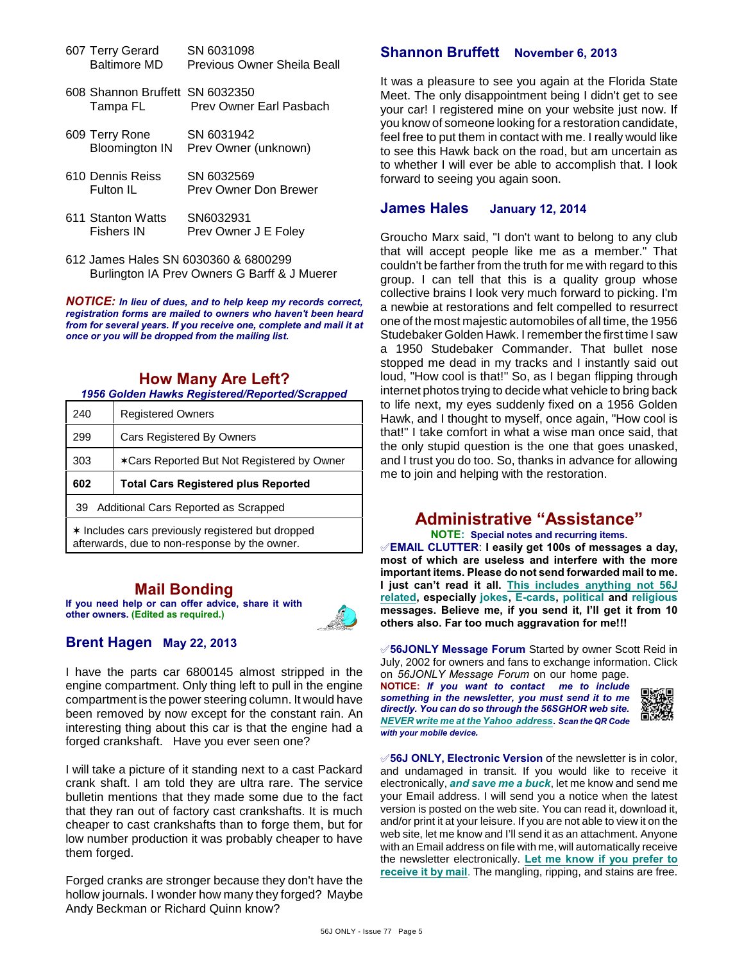| 607 Terry Gerard<br><b>Baltimore MD</b>      | SN 6031098<br>Previous Owner Sheila Beall |
|----------------------------------------------|-------------------------------------------|
| 608 Shannon Bruffett, SN 6032350<br>Tampa FL | Prev Owner Earl Pasbach                   |
| 609 Terry Rone<br><b>Bloomington IN</b>      | SN 6031942<br>Prev Owner (unknown)        |
| 610 Dennis Reiss<br>Fulton IL                | SN 6032569<br>Prev Owner Don Brewer       |
| 611 Stanton Watts<br><b>Fishers IN</b>       | SN6032931<br>Prev Owner J E Foley         |

612 James Hales SN 6030360 & 6800299 Burlington IA Prev Owners G Barff & J Muerer

*NOTICE: In lieu of dues, and to help keep my records correct, registration forms are mailed to owners who haven't been heard from for several years. If you receive one, complete and mail it at once or you will be dropped from the mailing list.*

## **How Many Are Left?**

*1956 Golden Hawks Registered/Reported/Scrapped*

| 240 | <b>Registered Owners</b>                   |
|-----|--------------------------------------------|
| 299 | <b>Cars Registered By Owners</b>           |
| 303 | *Cars Reported But Not Registered by Owner |
|     |                                            |
| 602 | <b>Total Cars Registered plus Reported</b> |
| 39  | Additional Cars Reported as Scrapped       |

### **Mail Bonding**

**If you need help or can offer advice, share it with other owners. (Edited as required.)**



#### **Brent Hagen May 22, 2013**

I have the parts car 6800145 almost stripped in the engine compartment. Only thing left to pull in the engine compartment is the power steering column. It would have been removed by now except for the constant rain. An interesting thing about this car is that the engine had a forged crankshaft. Have you ever seen one?

I will take a picture of it standing next to a cast Packard crank shaft. I am told they are ultra rare. The service bulletin mentions that they made some due to the fact that they ran out of factory cast crankshafts. It is much cheaper to cast crankshafts than to forge them, but for low number production it was probably cheaper to have them forged.

Forged cranks are stronger because they don't have the hollow journals. I wonder how many they forged? Maybe Andy Beckman or Richard Quinn know?

#### **Shannon Bruffett November 6, 2013**

It was a pleasure to see you again at the Florida State Meet. The only disappointment being I didn't get to see your car! I registered mine on your website just now. If you know of someone looking for a restoration candidate, feel free to put them in contact with me. I really would like to see this Hawk back on the road, but am uncertain as to whether I will ever be able to accomplish that. I look forward to seeing you again soon.

#### **James Hales January 12, 2014**

Groucho Marx said, "I don't want to belong to any club that will accept people like me as a member." That couldn't be farther from the truth for me with regard to this group. I can tell that this is a quality group whose collective brains I look very much forward to picking. I'm a newbie at restorations and felt compelled to resurrect one of the most majestic automobiles of all time, the 1956 Studebaker Golden Hawk. I remember the first time I saw a 1950 Studebaker Commander. That bullet nose stopped me dead in my tracks and I instantly said out loud, "How cool is that!" So, as I began flipping through internet photos trying to decide what vehicle to bring back to life next, my eyes suddenly fixed on a 1956 Golden Hawk, and I thought to myself, once again, "How cool is that!" I take comfort in what a wise man once said, that the only stupid question is the one that goes unasked, and I trust you do too. So, thanks in advance for allowing me to join and helping with the restoration.

## **Administrative "Assistance"**

**NOTE: Special notes and recurring items.** °**EMAIL CLUTTER**: **I easily get 100s of messages a day, most of which are useless and interfere with the more important items. Please do not send forwarded mail to me. I just can't read it all. This includes anything not 56J related, especially jokes, E-cards, political and religious messages. Believe me, if you send it, I'll get it from 10 others also. Far too much aggravation for me!!!**

°**56JONLY Message Forum** Started by owner Scott Reid in July, 2002 for owners and fans to exchange information. Click on *56JONLY Message Forum* on our home page.

**NOTICE:** *If you want to contact me to include something in the newsletter, you must send it to me directly. You can do so through the 56SGHOR web site. NEVER write me at the Yahoo address. Scan the QR Code with your mobile device.* 



**√56J ONLY, Electronic Version** of the newsletter is in color, and undamaged in transit. If you would like to receive it electronically, *and save me a buck*, let me know and send me your Email address. I will send you a notice when the latest version is posted on the web site. You can read it, download it, and/or print it at your leisure. If you are not able to view it on the web site, let me know and I'll send it as an attachment. Anyone with an Email address on file with me, will automatically receive the newsletter electronically. **Let me know if you prefer to receive it by mail**. The mangling, ripping, and stains are free.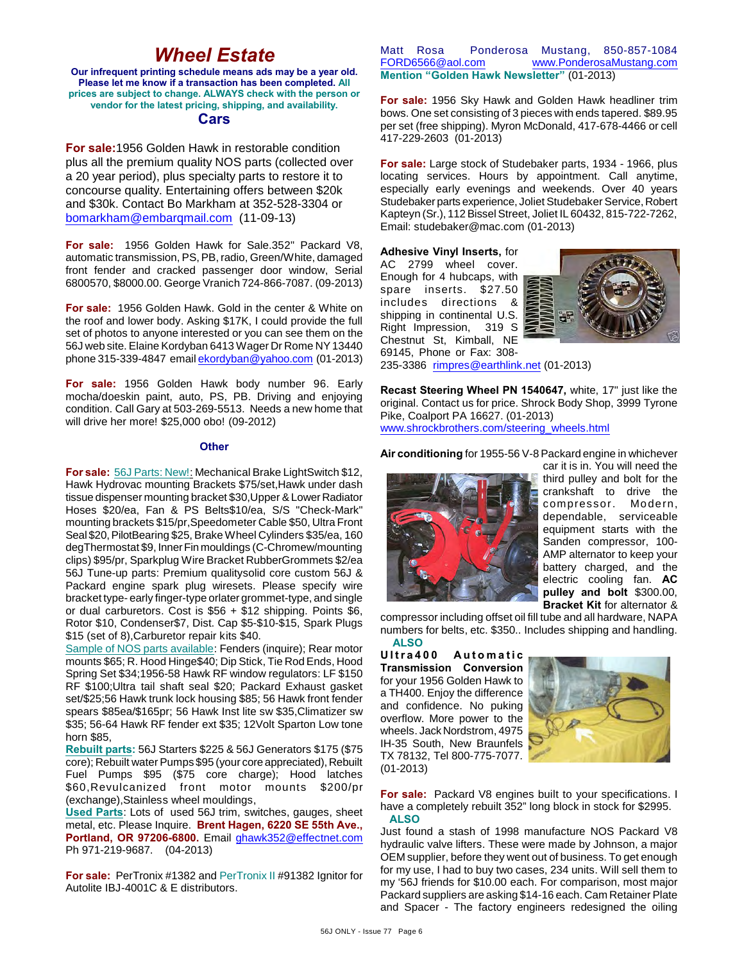# *Wheel Estate*

**Our infrequent printing schedule means ads may be a year old. Please let me know if a transaction has been completed. All prices are subject to change. ALWAYS check with the person or vendor for the latest pricing, shipping, and availability.**

#### **Cars**

**For sale:**1956 Golden Hawk in restorable condition plus all the premium quality NOS parts (collected over a 20 year period), plus specialty parts to restore it to concourse quality. Entertaining offers between \$20k and \$30k. Contact Bo Markham at 352-528-3304 or [bomarkham@embarqmail.com](mailto:bomarkham@embarqmail.com) (11-09-13)

**For sale:** 1956 Golden Hawk for Sale.352" Packard V8, automatic transmission, PS, PB, radio, Green/White, damaged front fender and cracked passenger door window, Serial 6800570, \$8000.00. George Vranich 724-866-7087. (09-2013)

**For sale:** 1956 Golden Hawk. Gold in the center & White on the roof and lower body. Asking \$17K, I could provide the full set of photos to anyone interested or you can see them on the 56J web site. Elaine Kordyban 6413 Wager Dr Rome NY 13440 phone 315-339-4847 email [ekordyban@yahoo.com](mailto:ekordyban@yahoo.com) (01-2013)

**For sale:** 1956 Golden Hawk body number 96. Early mocha/doeskin paint, auto, PS, PB. Driving and enjoying condition. Call Gary at 503-269-5513. Needs a new home that will drive her more! \$25,000 obo! (09-2012)

#### **Other**

**For sale:** 56J Parts: New!: Mechanical Brake LightSwitch \$12, Hawk Hydrovac mounting Brackets \$75/set,Hawk under dash tissue dispenser mounting bracket \$30,Upper & Lower Radiator Hoses \$20/ea, Fan & PS Belts\$10/ea, S/S "Check-Mark" mounting brackets \$15/pr,Speedometer Cable \$50, Ultra Front Seal \$20, PilotBearing \$25, Brake Wheel Cylinders \$35/ea, 160 degThermostat \$9, Inner Fin mouldings (C-Chromew/mounting clips) \$95/pr, Sparkplug Wire Bracket RubberGrommets \$2/ea 56J Tune-up parts: Premium qualitysolid core custom 56J & Packard engine spark plug wiresets. Please specify wire bracket type- early finger-type orlater grommet-type, and single or dual carburetors. Cost is \$56 + \$12 shipping. Points \$6, Rotor \$10, Condenser\$7, Dist. Cap \$5-\$10-\$15, Spark Plugs \$15 (set of 8),Carburetor repair kits \$40.

Sample of NOS parts available: Fenders (inquire); Rear motor mounts \$65; R. Hood Hinge\$40; Dip Stick, Tie Rod Ends, Hood Spring Set \$34;1956-58 Hawk RF window regulators: LF \$150 RF \$100;Ultra tail shaft seal \$20; Packard Exhaust gasket set/\$25;56 Hawk trunk lock housing \$85; 56 Hawk front fender spears \$85ea/\$165pr; 56 Hawk Inst lite sw \$35,Climatizer sw \$35; 56-64 Hawk RF fender ext \$35; 12Volt Sparton Low tone horn \$85,

**Rebuilt parts:** 56J Starters \$225 & 56J Generators \$175 (\$75 core); Rebuilt water Pumps \$95 (your core appreciated), Rebuilt Fuel Pumps \$95 (\$75 core charge); Hood latches \$60,Revulcanized front motor mounts \$200/pr (exchange),Stainless wheel mouldings,

**Used Parts**: Lots of used 56J trim, switches, gauges, sheet metal, etc. Please Inquire. **Brent Hagen, 6220 SE 55th Ave., Portland, OR 97206-6800.** Email [ghawk352@effectnet.com](mailto:ghawk352@effectnet.com) Ph 971-219-9687. (04-2013)

**For sale:** PerTronix #1382 and PerTronix II #91382 Ignitor for Autolite IBJ-4001C & E distributors.

Matt Rosa Ponderosa Mustang, 850-857-1084 [www.PonderosaMustang.com](http://www.PonderosaMustang.com) **Mention "Golden Hawk Newsletter"** (01-2013)

**For sale:** 1956 Sky Hawk and Golden Hawk headliner trim bows. One set consisting of 3 pieces with ends tapered. \$89.95 per set (free shipping). Myron McDonald, 417-678-4466 or cell 417-229-2603 (01-2013)

**For sale:** Large stock of Studebaker parts, 1934 - 1966, plus locating services. Hours by appointment. Call anytime, especially early evenings and weekends. Over 40 years Studebaker parts experience, Joliet Studebaker Service, Robert Kapteyn (Sr.), 112 Bissel Street, Joliet IL 60432, 815-722-7262, Email: studebaker@mac.com (01-2013)

**Adhesive Vinyl Inserts,** for AC 2799 wheel cover. Enough for 4 hubcaps, with spare inserts. \$27.50 includes directions & shipping in continental U.S. Right Impression, 319 S Chestnut St, Kimball, NE 69145, Phone or Fax: 308-



235-3386 [rimpres@earthlink.net](mailto:rimpres@earthlink.net) (01-2013)

**Recast Steering Wheel PN 1540647,** white, 17" just like the original. Contact us for price. Shrock Body Shop, 3999 Tyrone Pike, Coalport PA 16627. (01-2013) [www.shrockbrothers.com/steering\\_wheels.html](http://www.shrockbrothers.com/steering_wheels.html)

**Air conditioning** for 1955-56 V-8 Packard engine in whichever



car it is in. You will need the third pulley and bolt for the crankshaft to drive the compressor. Modern, dependable, serviceable equipment starts with the Sanden compressor, 100- AMP alternator to keep your battery charged, and the electric cooling fan. **AC pulley and bolt** \$300.00, **Bracket Kit** for alternator &

compressor including offset oil fill tube and all hardware, NAPA numbers for belts, etc. \$350.. Includes shipping and handling. **ALSO**

Ultra400 Automatic **Transmission Conversion** for your 1956 Golden Hawk to a TH400. Enjoy the difference and confidence. No puking overflow. More power to the wheels. Jack Nordstrom, 4975 IH-35 South, New Braunfels TX 78132, Tel 800-775-7077. (01-2013)



**For sale:** Packard V8 engines built to your specifications. I have a completely rebuilt 352" long block in stock for \$2995. **ALSO**

Just found a stash of 1998 manufacture NOS Packard V8 hydraulic valve lifters. These were made by Johnson, a major OEM supplier, before they went out of business. To get enough for my use, I had to buy two cases, 234 units. Will sell them to my '56J friends for \$10.00 each. For comparison, most major Packard suppliers are asking \$14-16 each. Cam Retainer Plate and Spacer - The factory engineers redesigned the oiling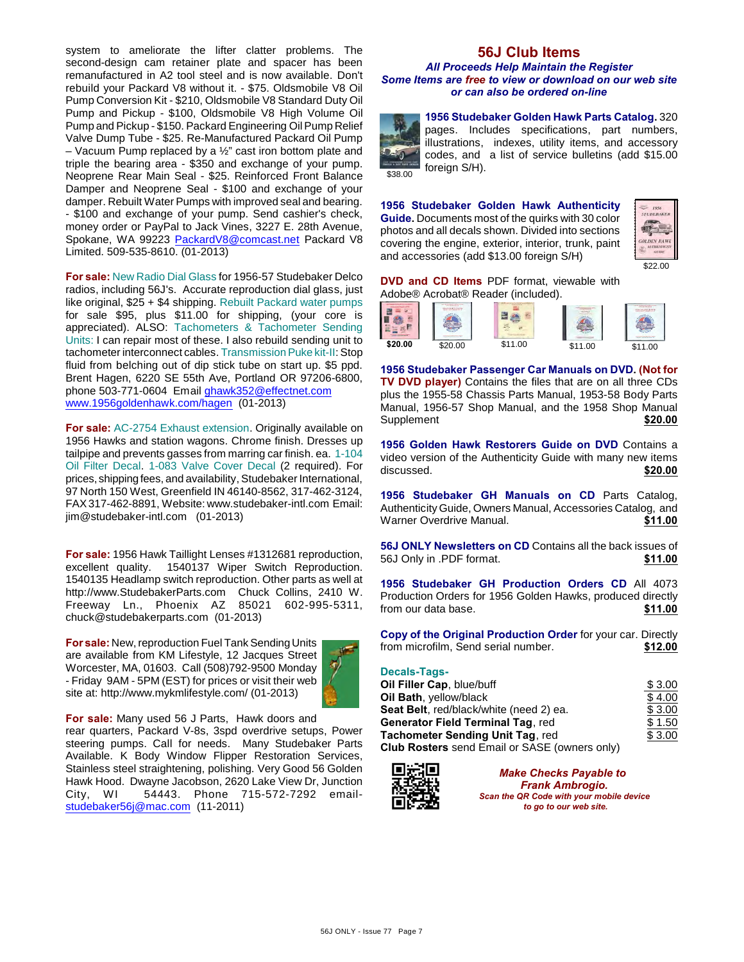system to ameliorate the lifter clatter problems. The second-design cam retainer plate and spacer has been remanufactured in A2 tool steel and is now available. Don't rebuild your Packard V8 without it. - \$75. Oldsmobile V8 Oil Pump Conversion Kit - \$210, Oldsmobile V8 Standard Duty Oil Pump and Pickup - \$100, Oldsmobile V8 High Volume Oil Pump and Pickup - \$150. Packard Engineering Oil Pump Relief Valve Dump Tube - \$25. Re-Manufactured Packard Oil Pump – Vacuum Pump replaced by a ½" cast iron bottom plate and triple the bearing area - \$350 and exchange of your pump. Neoprene Rear Main Seal - \$25. Reinforced Front Balance Damper and Neoprene Seal - \$100 and exchange of your damper. Rebuilt Water Pumps with improved seal and bearing. - \$100 and exchange of your pump. Send cashier's check, money order or PayPal to Jack Vines, 3227 E. 28th Avenue, Spokane, WA 99223 [PackardV8@comcast.net](mailto:PackardV8@comcast.net) Packard V8 Limited. 509-535-8610. (01-2013)

**For sale:** New Radio Dial Glass for 1956-57 Studebaker Delco radios, including 56J's. Accurate reproduction dial glass, just like original, \$25 + \$4 shipping. Rebuilt Packard water pumps for sale \$95, plus \$11.00 for shipping, (your core is appreciated). ALSO: Tachometers & Tachometer Sending Units: I can repair most of these. I also rebuild sending unit to tachometer interconnect cables. Transmission Puke kit-II: Stop fluid from belching out of dip stick tube on start up. \$5 ppd. Brent Hagen, 6220 SE 55th Ave, Portland OR 97206-6800, phone 503-771-0604 Email [ghawk352@effectnet.com](mailto:ghawk352@effectnet.com) [www.1956goldenhawk.com/hagen](http://www.1956goldenhawk.com/hagen) (01-2013)

**For sale:** AC-2754 Exhaust extension. Originally available on 1956 Hawks and station wagons. Chrome finish. Dresses up tailpipe and prevents gasses from marring car finish. ea. 1-104 Oil Filter Decal. 1-083 Valve Cover Decal (2 required). For prices, shipping fees, and availability, Studebaker International, 97 North 150 West, Greenfield IN 46140-8562, 317-462-3124, FAX 317-462-8891, Website: www.studebaker-intl.com Email: jim@studebaker-intl.com (01-2013)

**For sale:** 1956 Hawk Taillight Lenses #1312681 reproduction, excellent quality. 1540137 Wiper Switch Reproduction. 1540135 Headlamp switch reproduction. Other parts as well at http://www.StudebakerParts.com Chuck Collins, 2410 W. Freeway Ln., Phoenix AZ 85021 602-995-5311, chuck@studebakerparts.com (01-2013)

**For sale:** New, reproduction Fuel Tank Sending Units are available from KM Lifestyle, 12 Jacques Street Worcester, MA, 01603. Call (508)792-9500 Monday - Friday 9AM - 5PM (EST) for prices or visit their web site at: http://www.mykmlifestyle.com/ (01-2013)



**For sale:** Many used 56 J Parts, Hawk doors and rear quarters, Packard V-8s, 3spd overdrive setups, Power steering pumps. Call for needs. Many Studebaker Parts Available. K Body Window Flipper Restoration Services, Stainless steel straightening, polishing. Very Good 56 Golden Hawk Hood. Dwayne Jacobson, 2620 Lake View Dr, Junction City, WI 54443. Phone 715-572-7292 email[studebaker56j@mac.com](mailto:studebaker56j@mac.com) (11-2011)

## **56J Club Items**

*All Proceeds Help Maintain the Register Some Items are free to view or download on our web site or can also be ordered on-line*

\$38.00 **1956 Studebaker Golden Hawk Parts Catalog.** 320 pages. Includes specifications, part numbers, illustrations, indexes, utility items, and accessory codes, and a list of service bulletins (add \$15.00 foreign S/H).

**1956 Studebaker Golden Hawk Authenticity Guide.** Documents most of the quirks with 30 color photos and all decals shown. Divided into sections covering the engine, exterior, interior, trunk, paint and accessories (add \$13.00 foreign S/H)



**DVD and CD Items** PDF format, viewable with Adobe® Acrobat® Reader (included).



**1956 Studebaker Passenger Car Manuals on DVD. (Not for TV DVD player)** Contains the files that are on all three CDs plus the 1955-58 Chassis Parts Manual, 1953-58 Body Parts Manual, 1956-57 Shop Manual, and the 1958 Shop Manual Supplement **\$20.00** 

**1956 Golden Hawk Restorers Guide on DVD** Contains a video version of the Authenticity Guide with many new items discussed. **\$20.00** 

**1956 Studebaker GH Manuals on CD** Parts Catalog, Authenticity Guide, Owners Manual, Accessories Catalog, and Warner Overdrive Manual. **\$11.00** 

**56J ONLY Newsletters on CD** Contains all the back issues of 56J Only in .PDF format. **\$11.00**

**1956 Studebaker GH Production Orders CD** All 4073 Production Orders for 1956 Golden Hawks, produced directly from our data base. **\$11.00**

**Copy of the Original Production Order** for your car. Directly from microfilm, Send serial number. **\$12.00**

| \$ 3.00 |
|---------|
| \$4.00  |
| \$3.00  |
| \$1.50  |
| \$3.00  |
|         |
|         |



*Make Checks Payable to Frank Ambrogio. Scan the QR Code with your mobile device to go to our web site.*